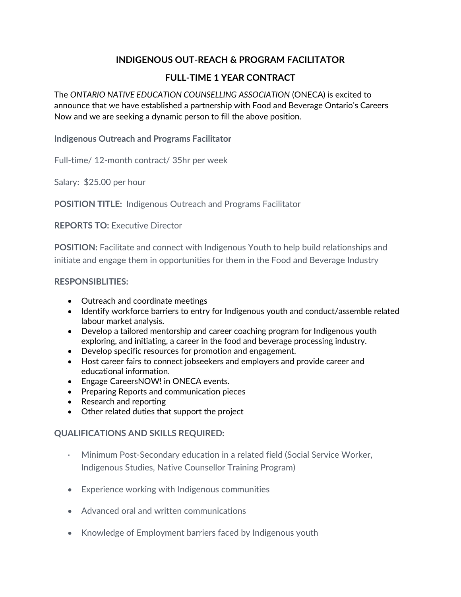## **INDIGENOUS OUT-REACH & PROGRAM FACILITATOR**

## **FULL-TIME 1 YEAR CONTRACT**

The *ONTARIO NATIVE EDUCATION COUNSELLING ASSOCIATION* (ONECA) is excited to announce that we have established a partnership with Food and Beverage Ontario's Careers Now and we are seeking a dynamic person to fill the above position.

**Indigenous Outreach and Programs Facilitator**

Full-time/ 12-month contract/ 35hr per week

Salary: \$25.00 per hour

**POSITION TITLE:** Indigenous Outreach and Programs Facilitator

**REPORTS TO:** Executive Director

**POSITION:** Facilitate and connect with Indigenous Youth to help build relationships and initiate and engage them in opportunities for them in the Food and Beverage Industry

## **RESPONSIBLITIES:**

- Outreach and coordinate meetings
- Identify workforce barriers to entry for Indigenous youth and conduct/assemble related labour market analysis.
- Develop a tailored mentorship and career coaching program for Indigenous youth exploring, and initiating, a career in the food and beverage processing industry.
- Develop specific resources for promotion and engagement.
- Host career fairs to connect jobseekers and employers and provide career and educational information.
- Engage CareersNOW! in ONECA events.
- Preparing Reports and communication pieces
- Research and reporting
- Other related duties that support the project

## **QUALIFICATIONS AND SKILLS REQUIRED:**

- · Minimum Post-Secondary education in a related field (Social Service Worker, Indigenous Studies, Native Counsellor Training Program)
- Experience working with Indigenous communities
- Advanced oral and written communications
- Knowledge of Employment barriers faced by Indigenous youth